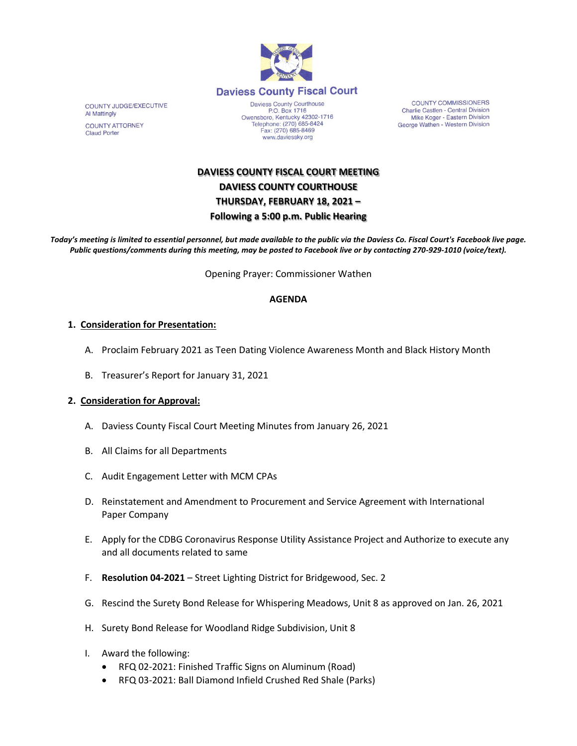

COUNTY JUDGE/EXECUTIVE Al Mattingly **COUNTY ATTORNEY** 

**Claud Porter** 

Daviess County Courthouse P.O. Box 1716<br>December 1716<br>Comparison (270) 685-8424<br>Telephone: (270) 685-8424 Fax: (270) 685-8469 www.daviessky.org

**COUNTY COMMISSIONERS** Charlie Castlen - Central Division Mike Koger - Eastern Division George Wathen - Western Division

**DAVIESS COUNTY FISCAL COURT MEETING DAVIESS COUNTY COURTHOUSE THURSDAY, FEBRUARY 18, 2021 – Following a 5:00 p.m. Public Hearing**

*Today's meeting is limited to essential personnel, but made available to the public via the Daviess Co. Fiscal Court's Facebook live page. Public questions/comments during this meeting, may be posted to Facebook live or by contacting 270-929-1010 (voice/text).*

Opening Prayer: Commissioner Wathen

## **AGENDA**

## **1. Consideration for Presentation:**

- A. Proclaim February 2021 as Teen Dating Violence Awareness Month and Black History Month
- B. Treasurer's Report for January 31, 2021

## **2. Consideration for Approval:**

- A. Daviess County Fiscal Court Meeting Minutes from January 26, 2021
- B. All Claims for all Departments
- C. Audit Engagement Letter with MCM CPAs
- D. Reinstatement and Amendment to Procurement and Service Agreement with International Paper Company
- E. Apply for the CDBG Coronavirus Response Utility Assistance Project and Authorize to execute any and all documents related to same
- F. **Resolution 04-2021** Street Lighting District for Bridgewood, Sec. 2
- G. Rescind the Surety Bond Release for Whispering Meadows, Unit 8 as approved on Jan. 26, 2021
- H. Surety Bond Release for Woodland Ridge Subdivision, Unit 8
- I. Award the following:
	- RFQ 02-2021: Finished Traffic Signs on Aluminum (Road)
	- RFQ 03-2021: Ball Diamond Infield Crushed Red Shale (Parks)